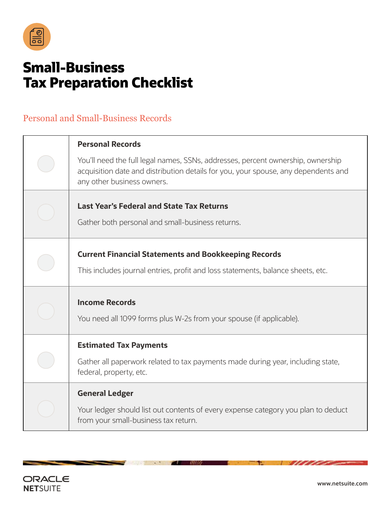

## **Small-Business Tax Preparation Checklist**

## Personal and Small-Business Records

| <b>Personal Records</b>                                                                                                                                                                             |
|-----------------------------------------------------------------------------------------------------------------------------------------------------------------------------------------------------|
| You'll need the full legal names, SSNs, addresses, percent ownership, ownership<br>acquisition date and distribution details for you, your spouse, any dependents and<br>any other business owners. |
| <b>Last Year's Federal and State Tax Returns</b><br>Gather both personal and small-business returns.                                                                                                |
| <b>Current Financial Statements and Bookkeeping Records</b><br>This includes journal entries, profit and loss statements, balance sheets, etc.                                                      |
| <b>Income Records</b><br>You need all 1099 forms plus W-2s from your spouse (if applicable).                                                                                                        |
| <b>Estimated Tax Payments</b><br>Gather all paperwork related to tax payments made during year, including state,<br>federal, property, etc.                                                         |
| <b>General Ledger</b><br>Your ledger should list out contents of every expense category you plan to deduct<br>from your small-business tax return.                                                  |

 $\omega$  and  $\omega$ 



\_

 $\sim$ 

w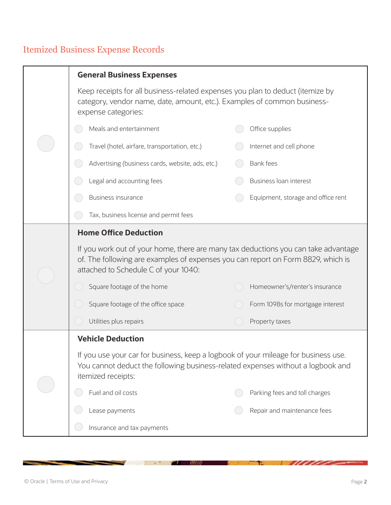## Itemized Business Expense Records

|  | <b>General Business Expenses</b>                                                                                                                                                                               |                                    |  |
|--|----------------------------------------------------------------------------------------------------------------------------------------------------------------------------------------------------------------|------------------------------------|--|
|  | Keep receipts for all business-related expenses you plan to deduct (itemize by<br>category, vendor name, date, amount, etc.). Examples of common business-<br>expense categories:                              |                                    |  |
|  | Meals and entertainment                                                                                                                                                                                        | Office supplies                    |  |
|  | Travel (hotel, airfare, transportation, etc.)                                                                                                                                                                  | Internet and cell phone            |  |
|  | Advertising (business cards, website, ads, etc.)                                                                                                                                                               | <b>Bank fees</b>                   |  |
|  | Legal and accounting fees                                                                                                                                                                                      | Business loan interest             |  |
|  | Business insurance                                                                                                                                                                                             | Equipment, storage and office rent |  |
|  | Tax, business license and permit fees                                                                                                                                                                          |                                    |  |
|  | <b>Home Office Deduction</b>                                                                                                                                                                                   |                                    |  |
|  | If you work out of your home, there are many tax deductions you can take advantage<br>of. The following are examples of expenses you can report on Form 8829, which is<br>attached to Schedule C of your 1040: |                                    |  |
|  | Square footage of the home                                                                                                                                                                                     | Homeowner's/renter's insurance     |  |
|  | Square footage of the office space                                                                                                                                                                             | Form 1098s for mortgage interest   |  |
|  | Utilities plus repairs                                                                                                                                                                                         | Property taxes                     |  |
|  | <b>Vehicle Deduction</b>                                                                                                                                                                                       |                                    |  |
|  | If you use your car for business, keep a logbook of your mileage for business use.<br>You cannot deduct the following business-related expenses without a logbook and<br>itemized receipts:                    |                                    |  |
|  | Fuel and oil costs                                                                                                                                                                                             | Parking fees and toll charges      |  |
|  | Lease payments                                                                                                                                                                                                 | Repair and maintenance fees        |  |
|  | Insurance and tax payments                                                                                                                                                                                     |                                    |  |

 $\mathcal{L}$  and  $\mathcal{L}$ 

 $\sim$ 

**Barbara Barbara** 

۰.

7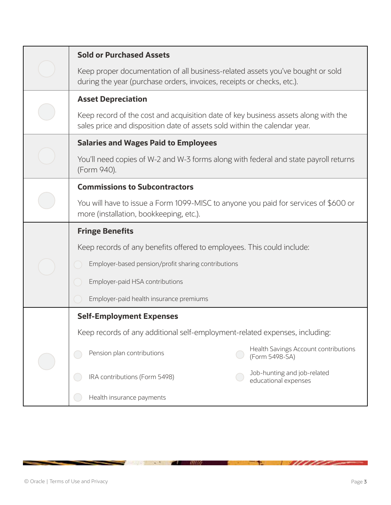|  | <b>Sold or Purchased Assets</b>                                                                                                                                 |  |
|--|-----------------------------------------------------------------------------------------------------------------------------------------------------------------|--|
|  | Keep proper documentation of all business-related assets you've bought or sold<br>during the year (purchase orders, invoices, receipts or checks, etc.).        |  |
|  | <b>Asset Depreciation</b>                                                                                                                                       |  |
|  | Keep record of the cost and acquisition date of key business assets along with the<br>sales price and disposition date of assets sold within the calendar year. |  |
|  | <b>Salaries and Wages Paid to Employees</b>                                                                                                                     |  |
|  | You'll need copies of W-2 and W-3 forms along with federal and state payroll returns<br>(Form 940).                                                             |  |
|  | <b>Commissions to Subcontractors</b>                                                                                                                            |  |
|  | You will have to issue a Form 1099-MISC to anyone you paid for services of \$600 or<br>more (installation, bookkeeping, etc.).                                  |  |
|  | <b>Fringe Benefits</b>                                                                                                                                          |  |
|  | Keep records of any benefits offered to employees. This could include:                                                                                          |  |
|  | Employer-based pension/profit sharing contributions                                                                                                             |  |
|  | Employer-paid HSA contributions                                                                                                                                 |  |
|  | Employer-paid health insurance premiums                                                                                                                         |  |
|  | <b>Self-Employment Expenses</b>                                                                                                                                 |  |
|  | Keep records of any additional self-employment-related expenses, including:                                                                                     |  |
|  | Health Savings Account contributions<br>Pension plan contributions<br>(Form 5498-SA)                                                                            |  |
|  | Job-hunting and job-related<br>IRA contributions (Form 5498)<br>educational expenses                                                                            |  |
|  | Health insurance payments                                                                                                                                       |  |

 $\mathcal{L}$  and  $\mathcal{L}$ 

**START OF BUILDING** 

그것 그렇게 아

e.

<u> Summer States States States States States States States States States States States States States States States States States States States States States States States States States States States States States States Sta</u>

÷.

- 1